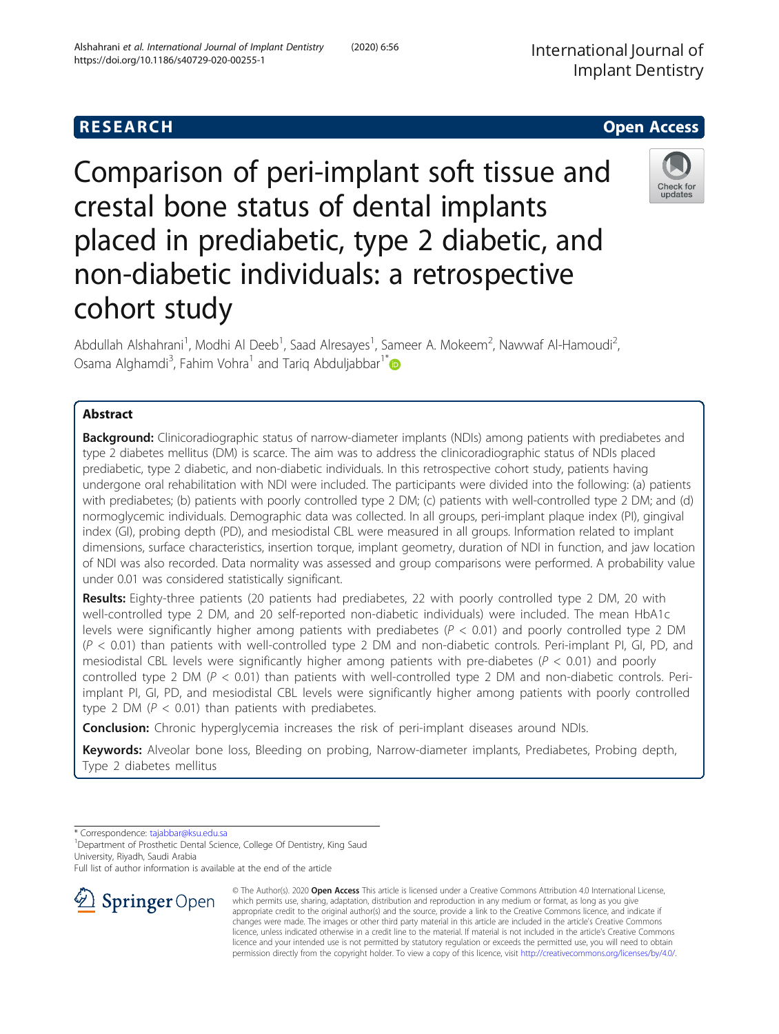# **RESEARCH CHEAR CHEAR CHEAR CHEAR CHEAR CHEAR CHEAR CHEAR CHEAR CHEAR CHEAR CHEAR CHEAR CHEAR CHEAR CHEAR CHEAR**

Comparison of peri-implant soft tissue and crestal bone status of dental implants placed in prediabetic, type 2 diabetic, and non-diabetic individuals: a retrospective cohort study

Abdullah Alshahrani<sup>1</sup>, Modhi Al Deeb<sup>1</sup>, Saad Alresayes<sup>1</sup>, Sameer A. Mokeem<sup>2</sup>, Nawwaf Al-Hamoudi<sup>2</sup> , Osama Alghamdi<sup>3</sup>, Fahim Vohra<sup>1</sup> and Tariq Abduljabbar<sup>1\*</sup>

# Abstract

**Background:** Clinicoradiographic status of narrow-diameter implants (NDIs) among patients with prediabetes and type 2 diabetes mellitus (DM) is scarce. The aim was to address the clinicoradiographic status of NDIs placed prediabetic, type 2 diabetic, and non-diabetic individuals. In this retrospective cohort study, patients having undergone oral rehabilitation with NDI were included. The participants were divided into the following: (a) patients with prediabetes; (b) patients with poorly controlled type 2 DM; (c) patients with well-controlled type 2 DM; and (d) normoglycemic individuals. Demographic data was collected. In all groups, peri-implant plaque index (PI), gingival index (GI), probing depth (PD), and mesiodistal CBL were measured in all groups. Information related to implant dimensions, surface characteristics, insertion torque, implant geometry, duration of NDI in function, and jaw location of NDI was also recorded. Data normality was assessed and group comparisons were performed. A probability value under 0.01 was considered statistically significant.

Results: Eighty-three patients (20 patients had prediabetes, 22 with poorly controlled type 2 DM, 20 with well-controlled type 2 DM, and 20 self-reported non-diabetic individuals) were included. The mean HbA1c levels were significantly higher among patients with prediabetes ( $P < 0.01$ ) and poorly controlled type 2 DM (P < 0.01) than patients with well-controlled type 2 DM and non-diabetic controls. Peri-implant PI, GI, PD, and mesiodistal CBL levels were significantly higher among patients with pre-diabetes ( $P < 0.01$ ) and poorly controlled type 2 DM ( $P < 0.01$ ) than patients with well-controlled type 2 DM and non-diabetic controls. Periimplant PI, GI, PD, and mesiodistal CBL levels were significantly higher among patients with poorly controlled type 2 DM ( $P < 0.01$ ) than patients with prediabetes.

**Conclusion:** Chronic hyperglycemia increases the risk of peri-implant diseases around NDIs.

Keywords: Alveolar bone loss, Bleeding on probing, Narrow-diameter implants, Prediabetes, Probing depth, Type 2 diabetes mellitus

\* Correspondence: [tajabbar@ksu.edu.sa](mailto:tajabbar@ksu.edu.sa) <sup>1</sup>

<sup>1</sup> Department of Prosthetic Dental Science, College Of Dentistry, King Saud University, Riyadh, Saudi Arabia

Full list of author information is available at the end of the article





Check for updates

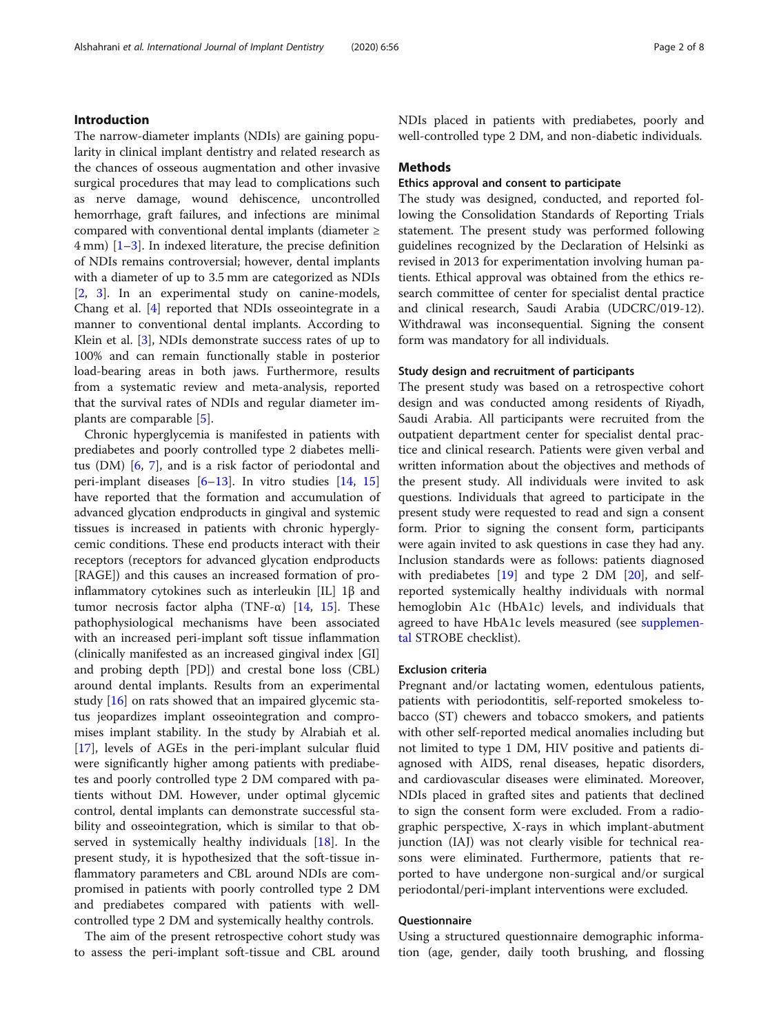The narrow-diameter implants (NDIs) are gaining popularity in clinical implant dentistry and related research as the chances of osseous augmentation and other invasive surgical procedures that may lead to complications such as nerve damage, wound dehiscence, uncontrolled hemorrhage, graft failures, and infections are minimal compared with conventional dental implants (diameter ≥ 4 mm) [\[1](#page-6-0)–[3](#page-6-0)]. In indexed literature, the precise definition of NDIs remains controversial; however, dental implants with a diameter of up to 3.5 mm are categorized as NDIs [[2,](#page-6-0) [3\]](#page-6-0). In an experimental study on canine-models, Chang et al. [\[4](#page-6-0)] reported that NDIs osseointegrate in a manner to conventional dental implants. According to Klein et al. [\[3\]](#page-6-0), NDIs demonstrate success rates of up to 100% and can remain functionally stable in posterior load-bearing areas in both jaws. Furthermore, results from a systematic review and meta-analysis, reported that the survival rates of NDIs and regular diameter implants are comparable [\[5](#page-6-0)].

Chronic hyperglycemia is manifested in patients with prediabetes and poorly controlled type 2 diabetes mellitus (DM) [[6,](#page-6-0) [7\]](#page-6-0), and is a risk factor of periodontal and peri-implant diseases  $[6-13]$  $[6-13]$  $[6-13]$  $[6-13]$  $[6-13]$ . In vitro studies  $[14, 15]$  $[14, 15]$  $[14, 15]$  $[14, 15]$ have reported that the formation and accumulation of advanced glycation endproducts in gingival and systemic tissues is increased in patients with chronic hyperglycemic conditions. These end products interact with their receptors (receptors for advanced glycation endproducts [RAGE]) and this causes an increased formation of proinflammatory cytokines such as interleukin [IL] 1β and tumor necrosis factor alpha (TNF-α) [\[14](#page-6-0), [15](#page-6-0)]. These pathophysiological mechanisms have been associated with an increased peri-implant soft tissue inflammation (clinically manifested as an increased gingival index [GI] and probing depth [PD]) and crestal bone loss (CBL) around dental implants. Results from an experimental study [[16\]](#page-6-0) on rats showed that an impaired glycemic status jeopardizes implant osseointegration and compromises implant stability. In the study by Alrabiah et al. [[17\]](#page-6-0), levels of AGEs in the peri-implant sulcular fluid were significantly higher among patients with prediabetes and poorly controlled type 2 DM compared with patients without DM. However, under optimal glycemic control, dental implants can demonstrate successful stability and osseointegration, which is similar to that observed in systemically healthy individuals [\[18\]](#page-6-0). In the present study, it is hypothesized that the soft-tissue inflammatory parameters and CBL around NDIs are compromised in patients with poorly controlled type 2 DM and prediabetes compared with patients with wellcontrolled type 2 DM and systemically healthy controls.

The aim of the present retrospective cohort study was to assess the peri-implant soft-tissue and CBL around NDIs placed in patients with prediabetes, poorly and well-controlled type 2 DM, and non-diabetic individuals.

#### Methods

# Ethics approval and consent to participate

The study was designed, conducted, and reported following the Consolidation Standards of Reporting Trials statement. The present study was performed following guidelines recognized by the Declaration of Helsinki as revised in 2013 for experimentation involving human patients. Ethical approval was obtained from the ethics research committee of center for specialist dental practice and clinical research, Saudi Arabia (UDCRC/019-12). Withdrawal was inconsequential. Signing the consent form was mandatory for all individuals.

#### Study design and recruitment of participants

The present study was based on a retrospective cohort design and was conducted among residents of Riyadh, Saudi Arabia. All participants were recruited from the outpatient department center for specialist dental practice and clinical research. Patients were given verbal and written information about the objectives and methods of the present study. All individuals were invited to ask questions. Individuals that agreed to participate in the present study were requested to read and sign a consent form. Prior to signing the consent form, participants were again invited to ask questions in case they had any. Inclusion standards were as follows: patients diagnosed with prediabetes  $[19]$  and type 2 DM  $[20]$ , and selfreported systemically healthy individuals with normal hemoglobin A1c (HbA1c) levels, and individuals that agreed to have HbA1c levels measured (see [supplemen](#page-5-0)[tal](#page-5-0) STROBE checklist).

## Exclusion criteria

Pregnant and/or lactating women, edentulous patients, patients with periodontitis, self-reported smokeless tobacco (ST) chewers and tobacco smokers, and patients with other self-reported medical anomalies including but not limited to type 1 DM, HIV positive and patients diagnosed with AIDS, renal diseases, hepatic disorders, and cardiovascular diseases were eliminated. Moreover, NDIs placed in grafted sites and patients that declined to sign the consent form were excluded. From a radiographic perspective, X-rays in which implant-abutment junction (IAJ) was not clearly visible for technical reasons were eliminated. Furthermore, patients that reported to have undergone non-surgical and/or surgical periodontal/peri-implant interventions were excluded.

#### Questionnaire

Using a structured questionnaire demographic information (age, gender, daily tooth brushing, and flossing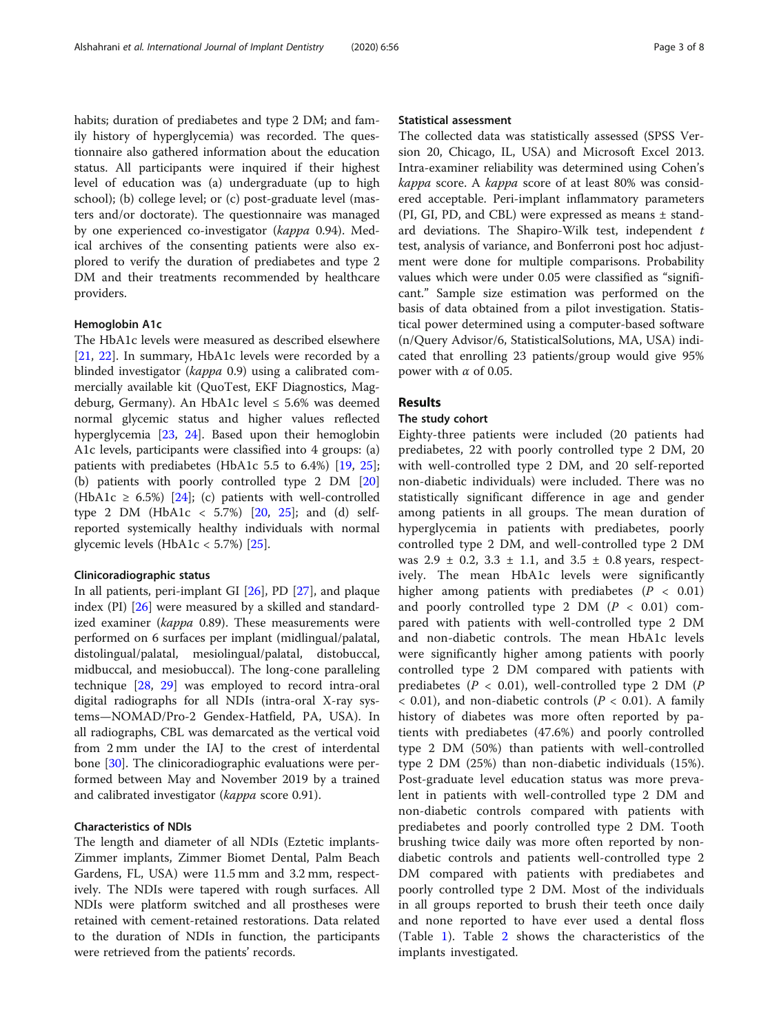habits; duration of prediabetes and type 2 DM; and family history of hyperglycemia) was recorded. The questionnaire also gathered information about the education status. All participants were inquired if their highest level of education was (a) undergraduate (up to high school); (b) college level; or (c) post-graduate level (masters and/or doctorate). The questionnaire was managed by one experienced co-investigator (kappa 0.94). Medical archives of the consenting patients were also explored to verify the duration of prediabetes and type 2 DM and their treatments recommended by healthcare providers.

### Hemoglobin A1c

The HbA1c levels were measured as described elsewhere [[21,](#page-6-0) [22](#page-6-0)]. In summary, HbA1c levels were recorded by a blinded investigator (kappa 0.9) using a calibrated commercially available kit (QuoTest, EKF Diagnostics, Magdeburg, Germany). An HbA1c level  $\leq 5.6\%$  was deemed normal glycemic status and higher values reflected hyperglycemia [[23,](#page-6-0) [24](#page-6-0)]. Based upon their hemoglobin A1c levels, participants were classified into 4 groups: (a) patients with prediabetes (HbA1c 5.5 to 6.4%) [\[19](#page-6-0), [25](#page-6-0)]; (b) patients with poorly controlled type 2 DM [[20](#page-6-0)] (HbA1c  $\geq$  6.5%) [[24\]](#page-6-0); (c) patients with well-controlled type 2 DM (HbA1c < 5.7%)  $[20, 25]$  $[20, 25]$  $[20, 25]$  $[20, 25]$ ; and (d) selfreported systemically healthy individuals with normal glycemic levels (HbA1c <  $5.7\%$ ) [[25\]](#page-6-0).

#### Clinicoradiographic status

In all patients, peri-implant GI [[26](#page-6-0)], PD [[27\]](#page-6-0), and plaque index (PI) [[26](#page-6-0)] were measured by a skilled and standardized examiner (kappa 0.89). These measurements were performed on 6 surfaces per implant (midlingual/palatal, distolingual/palatal, mesiolingual/palatal, distobuccal, midbuccal, and mesiobuccal). The long-cone paralleling technique [\[28](#page-6-0), [29\]](#page-6-0) was employed to record intra-oral digital radiographs for all NDIs (intra-oral X-ray systems—NOMAD/Pro-2 Gendex-Hatfield, PA, USA). In all radiographs, CBL was demarcated as the vertical void from 2 mm under the IAJ to the crest of interdental bone [\[30\]](#page-6-0). The clinicoradiographic evaluations were performed between May and November 2019 by a trained and calibrated investigator (*kappa* score 0.91).

# Characteristics of NDIs

The length and diameter of all NDIs (Eztetic implants-Zimmer implants, Zimmer Biomet Dental, Palm Beach Gardens, FL, USA) were 11.5 mm and 3.2 mm, respectively. The NDIs were tapered with rough surfaces. All NDIs were platform switched and all prostheses were retained with cement-retained restorations. Data related to the duration of NDIs in function, the participants were retrieved from the patients' records.

#### Statistical assessment

The collected data was statistically assessed (SPSS Version 20, Chicago, IL, USA) and Microsoft Excel 2013. Intra-examiner reliability was determined using Cohen's kappa score. A kappa score of at least 80% was considered acceptable. Peri-implant inflammatory parameters (PI, GI, PD, and CBL) were expressed as means ± standard deviations. The Shapiro-Wilk test, independent  $t$ test, analysis of variance, and Bonferroni post hoc adjustment were done for multiple comparisons. Probability values which were under 0.05 were classified as "significant." Sample size estimation was performed on the basis of data obtained from a pilot investigation. Statistical power determined using a computer-based software (n/Query Advisor/6, StatisticalSolutions, MA, USA) indicated that enrolling 23 patients/group would give 95% power with  $\alpha$  of 0.05.

## Results

### The study cohort

Eighty-three patients were included (20 patients had prediabetes, 22 with poorly controlled type 2 DM, 20 with well-controlled type 2 DM, and 20 self-reported non-diabetic individuals) were included. There was no statistically significant difference in age and gender among patients in all groups. The mean duration of hyperglycemia in patients with prediabetes, poorly controlled type 2 DM, and well-controlled type 2 DM was  $2.9 \pm 0.2$ ,  $3.3 \pm 1.1$ , and  $3.5 \pm 0.8$  years, respectively. The mean HbA1c levels were significantly higher among patients with prediabetes ( $P < 0.01$ ) and poorly controlled type 2 DM  $(P < 0.01)$  compared with patients with well-controlled type 2 DM and non-diabetic controls. The mean HbA1c levels were significantly higher among patients with poorly controlled type 2 DM compared with patients with prediabetes ( $P < 0.01$ ), well-controlled type 2 DM ( $P$  $<$  0.01), and non-diabetic controls ( $P < 0.01$ ). A family history of diabetes was more often reported by patients with prediabetes (47.6%) and poorly controlled type 2 DM (50%) than patients with well-controlled type 2 DM (25%) than non-diabetic individuals (15%). Post-graduate level education status was more prevalent in patients with well-controlled type 2 DM and non-diabetic controls compared with patients with prediabetes and poorly controlled type 2 DM. Tooth brushing twice daily was more often reported by nondiabetic controls and patients well-controlled type 2 DM compared with patients with prediabetes and poorly controlled type 2 DM. Most of the individuals in all groups reported to brush their teeth once daily and none reported to have ever used a dental floss (Table [1\)](#page-3-0). Table [2](#page-3-0) shows the characteristics of the implants investigated.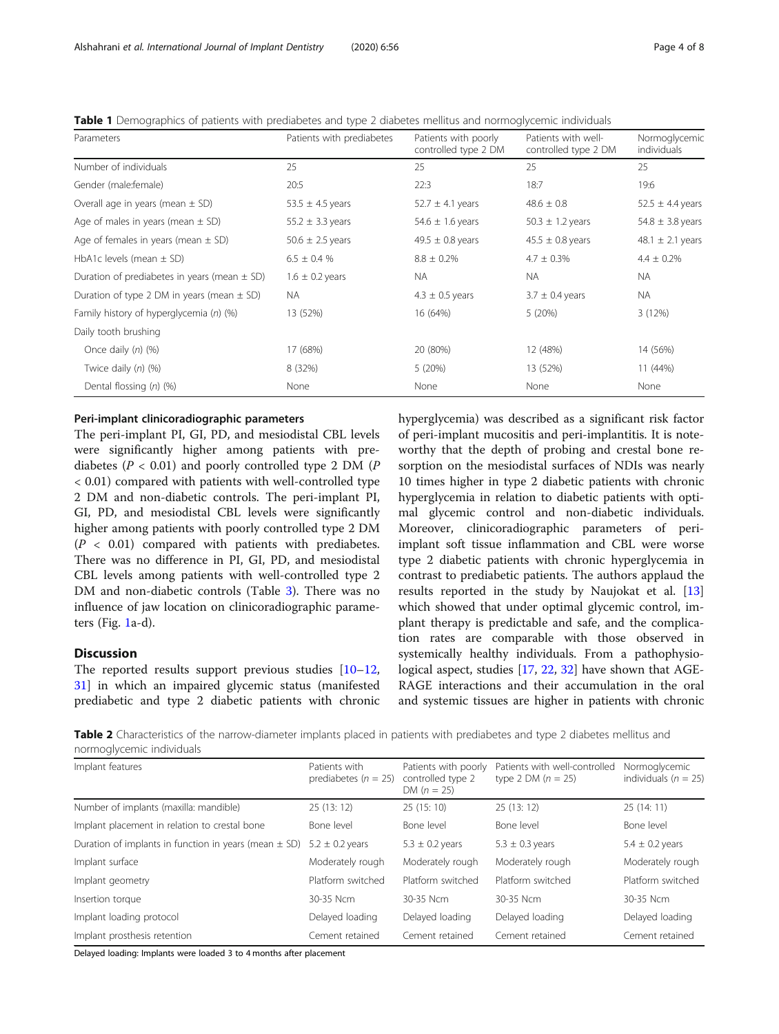<span id="page-3-0"></span>

| Table 1 Demographics of patients with prediabetes and type 2 diabetes mellitus and normoglycemic individuals |  |  |  |
|--------------------------------------------------------------------------------------------------------------|--|--|--|
|                                                                                                              |  |  |  |

| Parameters                                       | Patients with prediabetes | Patients with poorly<br>controlled type 2 DM | Patients with well-<br>controlled type 2 DM | Normoglycemic<br>individuals |
|--------------------------------------------------|---------------------------|----------------------------------------------|---------------------------------------------|------------------------------|
| Number of individuals                            | 25                        | 25                                           | 25                                          | 25                           |
| Gender (male:female)                             | 20:5                      | 22:3                                         | 18:7                                        | 19:6                         |
| Overall age in years (mean $\pm$ SD)             | 53.5 $\pm$ 4.5 years      | 52.7 $\pm$ 4.1 years                         | $48.6 \pm 0.8$                              | $52.5 \pm 4.4$ years         |
| Age of males in years (mean $\pm$ SD)            | 55.2 $\pm$ 3.3 years      | 54.6 $\pm$ 1.6 years                         | $50.3 \pm 1.2$ years                        | 54.8 $\pm$ 3.8 years         |
| Age of females in years (mean $\pm$ SD)          | 50.6 $\pm$ 2.5 years      | 49.5 $\pm$ 0.8 years                         | $45.5 \pm 0.8$ years                        | 48.1 $\pm$ 2.1 years         |
| HbA1c levels (mean $\pm$ SD)                     | $6.5 \pm 0.4$ %           | $8.8 \pm 0.2\%$                              | $4.7 \pm 0.3\%$                             | $4.4 \pm 0.2\%$              |
| Duration of prediabetes in years (mean $\pm$ SD) | $1.6 \pm 0.2$ years       | <b>NA</b>                                    | <b>NA</b>                                   | <b>NA</b>                    |
| Duration of type 2 DM in years (mean $\pm$ SD)   | NA.                       | $4.3 \pm 0.5$ years                          | $3.7 \pm 0.4$ years                         | <b>NA</b>                    |
| Family history of hyperglycemia (n) (%)          | 13 (52%)                  | 16 (64%)                                     | 5(20%)                                      | 3(12%)                       |
| Daily tooth brushing                             |                           |                                              |                                             |                              |
| Once daily $(n)$ $(\%)$                          | 17 (68%)                  | 20 (80%)                                     | 12 (48%)                                    | 14 (56%)                     |
| Twice daily $(n)$ $(%)$                          | 8 (32%)                   | 5(20%)                                       | 13 (52%)                                    | 11 (44%)                     |
| Dental flossing $(n)$ $(\%)$                     | None                      | None                                         | None                                        | None                         |

### Peri-implant clinicoradiographic parameters

The peri-implant PI, GI, PD, and mesiodistal CBL levels were significantly higher among patients with prediabetes ( $P < 0.01$ ) and poorly controlled type 2 DM ( $P$ < 0.01) compared with patients with well-controlled type 2 DM and non-diabetic controls. The peri-implant PI, GI, PD, and mesiodistal CBL levels were significantly higher among patients with poorly controlled type 2 DM  $(P < 0.01)$  compared with patients with prediabetes. There was no difference in PI, GI, PD, and mesiodistal CBL levels among patients with well-controlled type 2 DM and non-diabetic controls (Table [3](#page-4-0)). There was no influence of jaw location on clinicoradiographic parameters (Fig. [1](#page-4-0)a-d).

# **Discussion**

The reported results support previous studies  $[10-12,$  $[10-12,$  $[10-12,$  $[10-12,$  $[10-12,$ [31\]](#page-6-0) in which an impaired glycemic status (manifested prediabetic and type 2 diabetic patients with chronic hyperglycemia) was described as a significant risk factor of peri-implant mucositis and peri-implantitis. It is noteworthy that the depth of probing and crestal bone resorption on the mesiodistal surfaces of NDIs was nearly 10 times higher in type 2 diabetic patients with chronic hyperglycemia in relation to diabetic patients with optimal glycemic control and non-diabetic individuals. Moreover, clinicoradiographic parameters of periimplant soft tissue inflammation and CBL were worse type 2 diabetic patients with chronic hyperglycemia in contrast to prediabetic patients. The authors applaud the results reported in the study by Naujokat et al. [[13](#page-6-0)] which showed that under optimal glycemic control, implant therapy is predictable and safe, and the complication rates are comparable with those observed in systemically healthy individuals. From a pathophysiological aspect, studies [[17,](#page-6-0) [22,](#page-6-0) [32\]](#page-7-0) have shown that AGE-RAGE interactions and their accumulation in the oral and systemic tissues are higher in patients with chronic

Table 2 Characteristics of the narrow-diameter implants placed in patients with prediabetes and type 2 diabetes mellitus and normoglycemic individuals

| Implant features                                          | Patients with<br>prediabetes ( $n = 25$ ) | Patients with poorly<br>controlled type 2<br>DM $(n = 25)$ | Patients with well-controlled<br>type 2 DM $(n = 25)$ | Normoglycemic<br>individuals ( $n = 25$ ) |
|-----------------------------------------------------------|-------------------------------------------|------------------------------------------------------------|-------------------------------------------------------|-------------------------------------------|
| Number of implants (maxilla: mandible)                    | 25(13:12)                                 | 25(15:10)                                                  | 25(13:12)                                             | 25(14:11)                                 |
| Implant placement in relation to crestal bone             | Bone level                                | Bone level                                                 | Bone level                                            | Bone level                                |
| Duration of implants in function in years (mean $\pm$ SD) | $5.2 \pm 0.2$ years                       | $5.3 \pm 0.2$ years                                        | $5.3 \pm 0.3$ years                                   | $5.4 \pm 0.2$ years                       |
| Implant surface                                           | Moderately rough                          | Moderately rough                                           | Moderately rough                                      | Moderately rough                          |
| Implant geometry                                          | Platform switched                         | Platform switched                                          | Platform switched                                     | Platform switched                         |
| Insertion torque                                          | 30-35 Ncm                                 | 30-35 Ncm                                                  | 30-35 Ncm                                             | 30-35 Ncm                                 |
| Implant loading protocol                                  | Delayed loading                           | Delayed loading                                            | Delayed loading                                       | Delayed loading                           |
| Implant prosthesis retention                              | Cement retained                           | Cement retained                                            | Cement retained                                       | Cement retained                           |

Delayed loading: Implants were loaded 3 to 4 months after placement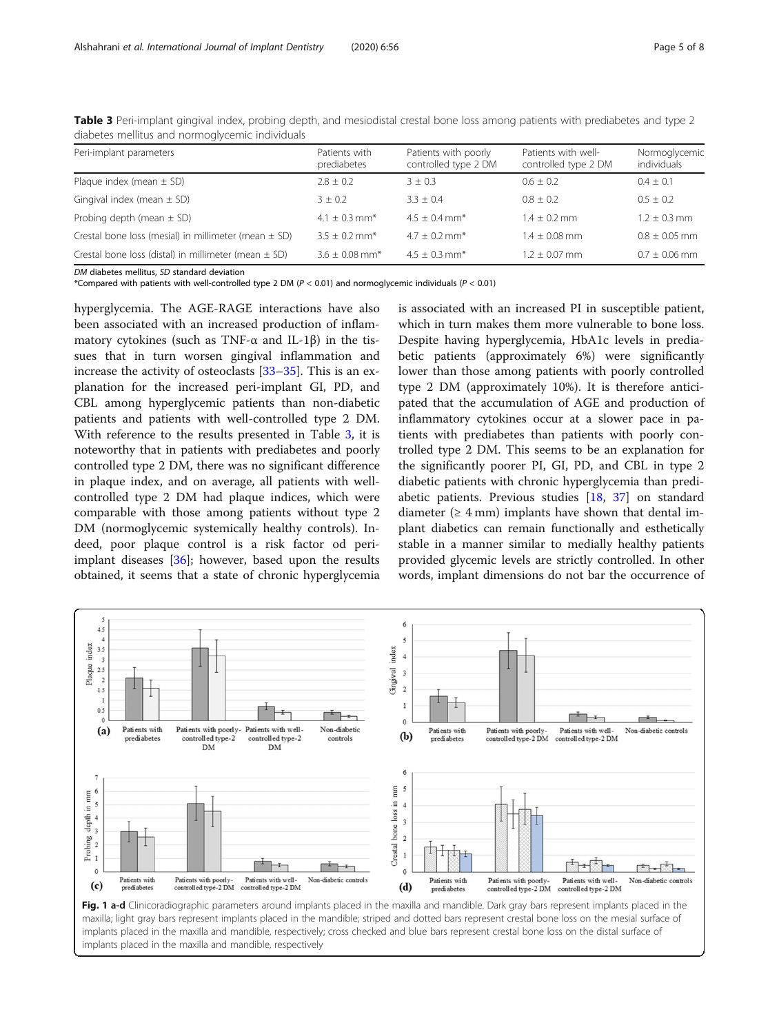| Patients with<br>prediabetes   | Patients with poorly<br>controlled type 2 DM | Patients with well-<br>controlled type 2 DM | Normoglycemic<br>individuals |
|--------------------------------|----------------------------------------------|---------------------------------------------|------------------------------|
| $2.8 + 0.2$                    | $3 + 0.3$                                    | $0.6 + 0.2$                                 | $0.4 + 0.1$                  |
| $3 + 0.2$                      | $3.3 + 0.4$                                  | $0.8 + 0.2$                                 | $0.5 + 0.2$                  |
| $4.1 + 0.3$ mm <sup>*</sup>    | $4.5 + 0.4$ mm <sup>*</sup>                  | $1.4 + 0.2$ mm                              | $1.2 + 0.3$ mm               |
| $3.5 + 0.2$ mm <sup>*</sup>    | $4.7 + 0.2$ mm <sup>*</sup>                  | $1.4 + 0.08$ mm                             | $0.8 \pm 0.05$ mm            |
| $3.6 \pm 0.08$ mm <sup>*</sup> | $4.5 + 0.3$ mm <sup>*</sup>                  | $1.2 \pm 0.07$ mm                           | $0.7 + 0.06$ mm              |
|                                |                                              |                                             |                              |

<span id="page-4-0"></span>Table 3 Peri-implant gingival index, probing depth, and mesiodistal crestal bone loss among patients with prediabetes and type 2 diabetes mellitus and normoglycemic individuals

DM diabetes mellitus, SD standard deviation

\*Compared with patients with well-controlled type 2 DM ( $P < 0.01$ ) and normoglycemic individuals ( $P < 0.01$ )

hyperglycemia. The AGE-RAGE interactions have also been associated with an increased production of inflammatory cytokines (such as TNF- $\alpha$  and IL-1 $\beta$ ) in the tissues that in turn worsen gingival inflammation and increase the activity of osteoclasts [[33](#page-7-0)–[35\]](#page-7-0). This is an explanation for the increased peri-implant GI, PD, and CBL among hyperglycemic patients than non-diabetic patients and patients with well-controlled type 2 DM. With reference to the results presented in Table 3, it is noteworthy that in patients with prediabetes and poorly controlled type 2 DM, there was no significant difference in plaque index, and on average, all patients with wellcontrolled type 2 DM had plaque indices, which were comparable with those among patients without type 2 DM (normoglycemic systemically healthy controls). Indeed, poor plaque control is a risk factor od periimplant diseases [[36\]](#page-7-0); however, based upon the results obtained, it seems that a state of chronic hyperglycemia is associated with an increased PI in susceptible patient, which in turn makes them more vulnerable to bone loss. Despite having hyperglycemia, HbA1c levels in prediabetic patients (approximately 6%) were significantly lower than those among patients with poorly controlled type 2 DM (approximately 10%). It is therefore anticipated that the accumulation of AGE and production of inflammatory cytokines occur at a slower pace in patients with prediabetes than patients with poorly controlled type 2 DM. This seems to be an explanation for the significantly poorer PI, GI, PD, and CBL in type 2 diabetic patients with chronic hyperglycemia than prediabetic patients. Previous studies [\[18](#page-6-0), [37\]](#page-7-0) on standard diameter ( $\geq 4$  mm) implants have shown that dental implant diabetics can remain functionally and esthetically stable in a manner similar to medially healthy patients provided glycemic levels are strictly controlled. In other words, implant dimensions do not bar the occurrence of

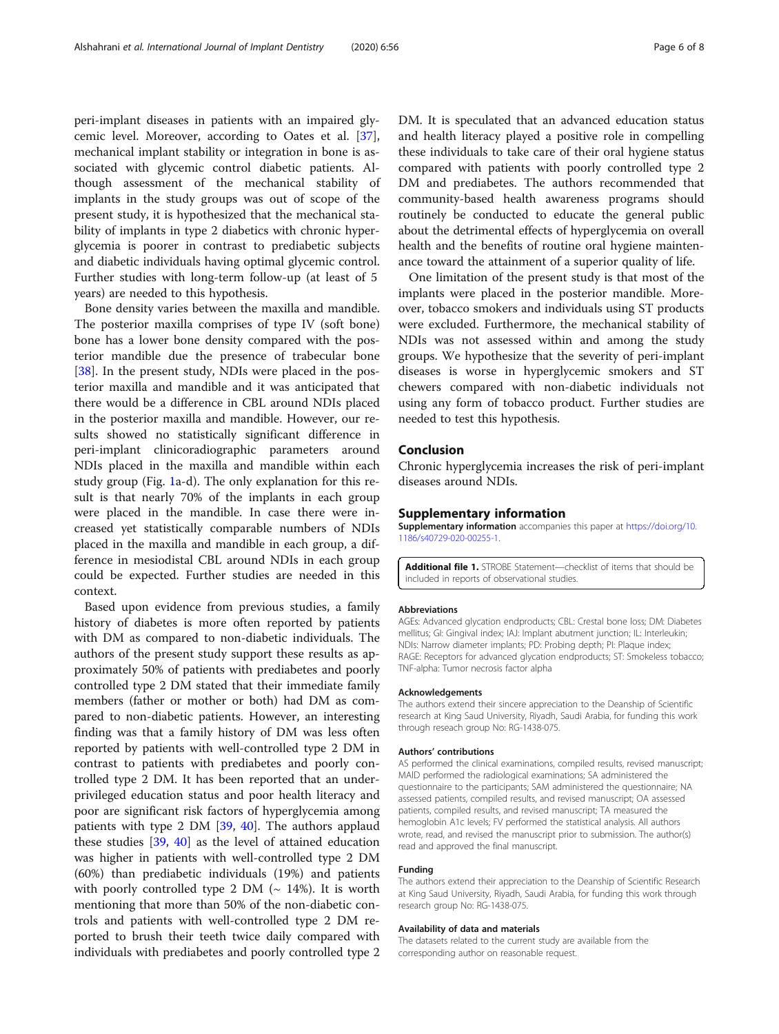<span id="page-5-0"></span>peri-implant diseases in patients with an impaired glycemic level. Moreover, according to Oates et al. [\[37](#page-7-0)], mechanical implant stability or integration in bone is associated with glycemic control diabetic patients. Although assessment of the mechanical stability of implants in the study groups was out of scope of the present study, it is hypothesized that the mechanical stability of implants in type 2 diabetics with chronic hyperglycemia is poorer in contrast to prediabetic subjects and diabetic individuals having optimal glycemic control. Further studies with long-term follow-up (at least of 5 years) are needed to this hypothesis.

Bone density varies between the maxilla and mandible. The posterior maxilla comprises of type IV (soft bone) bone has a lower bone density compared with the posterior mandible due the presence of trabecular bone [[38\]](#page-7-0). In the present study, NDIs were placed in the posterior maxilla and mandible and it was anticipated that there would be a difference in CBL around NDIs placed in the posterior maxilla and mandible. However, our results showed no statistically significant difference in peri-implant clinicoradiographic parameters around NDIs placed in the maxilla and mandible within each study group (Fig. [1](#page-4-0)a-d). The only explanation for this result is that nearly 70% of the implants in each group were placed in the mandible. In case there were increased yet statistically comparable numbers of NDIs placed in the maxilla and mandible in each group, a difference in mesiodistal CBL around NDIs in each group could be expected. Further studies are needed in this context.

Based upon evidence from previous studies, a family history of diabetes is more often reported by patients with DM as compared to non-diabetic individuals. The authors of the present study support these results as approximately 50% of patients with prediabetes and poorly controlled type 2 DM stated that their immediate family members (father or mother or both) had DM as compared to non-diabetic patients. However, an interesting finding was that a family history of DM was less often reported by patients with well-controlled type 2 DM in contrast to patients with prediabetes and poorly controlled type 2 DM. It has been reported that an underprivileged education status and poor health literacy and poor are significant risk factors of hyperglycemia among patients with type 2 DM [\[39,](#page-7-0) [40\]](#page-7-0). The authors applaud these studies [\[39](#page-7-0), [40](#page-7-0)] as the level of attained education was higher in patients with well-controlled type 2 DM (60%) than prediabetic individuals (19%) and patients with poorly controlled type 2 DM ( $\sim$  14%). It is worth mentioning that more than 50% of the non-diabetic controls and patients with well-controlled type 2 DM reported to brush their teeth twice daily compared with individuals with prediabetes and poorly controlled type 2

DM. It is speculated that an advanced education status and health literacy played a positive role in compelling these individuals to take care of their oral hygiene status compared with patients with poorly controlled type 2 DM and prediabetes. The authors recommended that community-based health awareness programs should routinely be conducted to educate the general public about the detrimental effects of hyperglycemia on overall health and the benefits of routine oral hygiene maintenance toward the attainment of a superior quality of life.

One limitation of the present study is that most of the implants were placed in the posterior mandible. Moreover, tobacco smokers and individuals using ST products were excluded. Furthermore, the mechanical stability of NDIs was not assessed within and among the study groups. We hypothesize that the severity of peri-implant diseases is worse in hyperglycemic smokers and ST chewers compared with non-diabetic individuals not using any form of tobacco product. Further studies are needed to test this hypothesis.

#### Conclusion

Chronic hyperglycemia increases the risk of peri-implant diseases around NDIs.

#### Supplementary information

Supplementary information accompanies this paper at [https://doi.org/10.](https://doi.org/10.1186/s40729-020-00255-1) [1186/s40729-020-00255-1](https://doi.org/10.1186/s40729-020-00255-1).

Additional file 1. STROBE Statement—checklist of items that should be included in reports of observational studies.

#### Abbreviations

AGEs: Advanced glycation endproducts; CBL: Crestal bone loss; DM: Diabetes mellitus; GI: Gingival index; IAJ: Implant abutment junction; IL: Interleukin; NDIs: Narrow diameter implants; PD: Probing depth; PI: Plaque index; RAGE: Receptors for advanced glycation endproducts; ST: Smokeless tobacco; TNF-alpha: Tumor necrosis factor alpha

#### Acknowledgements

The authors extend their sincere appreciation to the Deanship of Scientific research at King Saud University, Riyadh, Saudi Arabia, for funding this work through reseach group No: RG-1438-075.

#### Authors' contributions

AS performed the clinical examinations, compiled results, revised manuscript; MAlD performed the radiological examinations; SA administered the questionnaire to the participants; SAM administered the questionnaire; NA assessed patients, compiled results, and revised manuscript; OA assessed patients, compiled results, and revised manuscript; TA measured the hemoglobin A1c levels; FV performed the statistical analysis. All authors wrote, read, and revised the manuscript prior to submission. The author(s) read and approved the final manuscript.

#### Funding

The authors extend their appreciation to the Deanship of Scientific Research at King Saud University, Riyadh, Saudi Arabia, for funding this work through research group No: RG-1438-075.

#### Availability of data and materials

The datasets related to the current study are available from the corresponding author on reasonable request.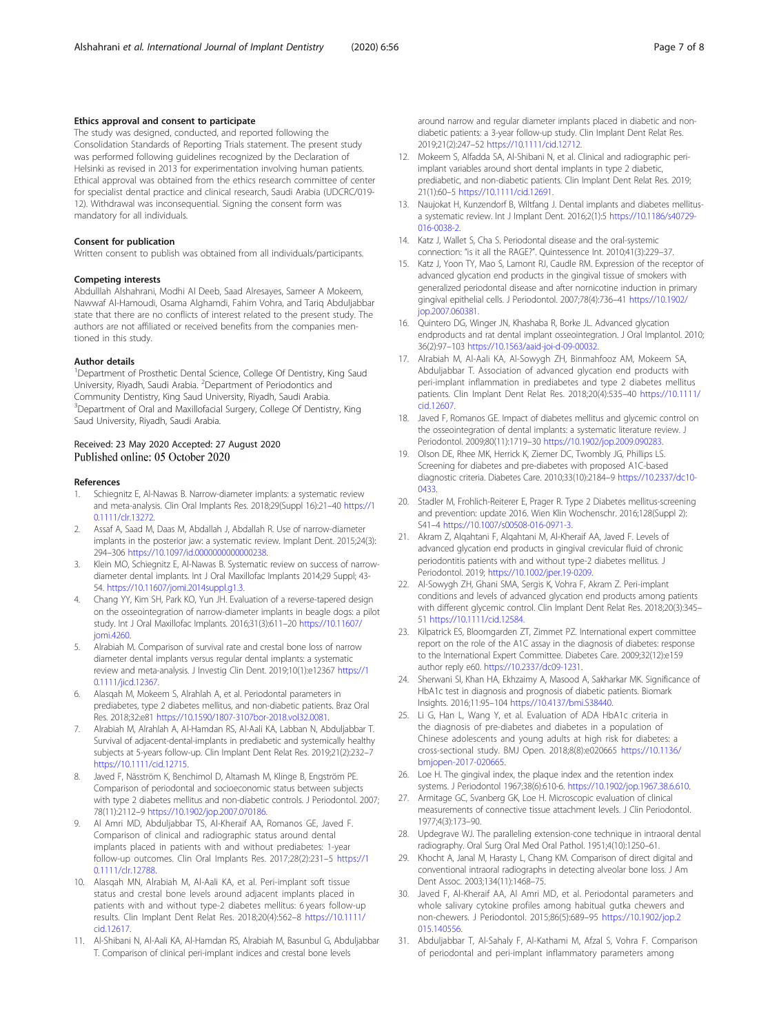### <span id="page-6-0"></span>Ethics approval and consent to participate

The study was designed, conducted, and reported following the Consolidation Standards of Reporting Trials statement. The present study was performed following guidelines recognized by the Declaration of Helsinki as revised in 2013 for experimentation involving human patients. Ethical approval was obtained from the ethics research committee of center for specialist dental practice and clinical research, Saudi Arabia (UDCRC/019- 12). Withdrawal was inconsequential. Signing the consent form was mandatory for all individuals.

#### Consent for publication

Written consent to publish was obtained from all individuals/participants.

#### Competing interests

Abdulllah Alshahrani, Modhi Al Deeb, Saad Alresayes, Sameer A Mokeem, Nawwaf Al-Hamoudi, Osama Alghamdi, Fahim Vohra, and Tariq Abduljabbar state that there are no conflicts of interest related to the present study. The authors are not affiliated or received benefits from the companies mentioned in this study.

#### Author details

<sup>1</sup>Department of Prosthetic Dental Science, College Of Dentistry, King Saud University, Riyadh, Saudi Arabia. <sup>2</sup>Department of Periodontics and Community Dentistry, King Saud University, Riyadh, Saudi Arabia. <sup>3</sup>Department of Oral and Maxillofacial Surgery, College Of Dentistry, King Saud University, Riyadh, Saudi Arabia.

# Received: 23 May 2020 Accepted: 27 August 2020

#### References

- 1. Schiegnitz E, Al-Nawas B. Narrow-diameter implants: a systematic review and meta-analysis. Clin Oral Implants Res. 2018;29(Suppl 16):21–40 [https://1](https://10.0.4.87/clr.13272) [0.1111/clr.13272](https://10.0.4.87/clr.13272).
- 2. Assaf A, Saad M, Daas M, Abdallah J, Abdallah R. Use of narrow-diameter implants in the posterior jaw: a systematic review. Implant Dent. 2015;24(3): 294–306 [https://10.1097/id.0000000000000238.](https://10.0.4.73/id.0000000000000238)
- Klein MO, Schiegnitz E, Al-Nawas B. Systematic review on success of narrowdiameter dental implants. Int J Oral Maxillofac Implants 2014;29 Suppl; 43- 54. [https://10.11607/jomi.2014suppl.g1.3.](https://10.0.45.87/jomi.2014suppl.g1.3)
- 4. Chang YY, Kim SH, Park KO, Yun JH. Evaluation of a reverse-tapered design on the osseointegration of narrow-diameter implants in beagle dogs: a pilot study. Int J Oral Maxillofac Implants. 2016;31(3):611–20 [https://10.11607/](https://10.0.45.87/jomi.4260) [jomi.4260](https://10.0.45.87/jomi.4260).
- 5. Alrabiah M. Comparison of survival rate and crestal bone loss of narrow diameter dental implants versus regular dental implants: a systematic review and meta-analysis. J Investig Clin Dent. 2019;10(1):e12367 [https://1](https://10.0.4.87/jicd.12367) [0.1111/jicd.12367.](https://10.0.4.87/jicd.12367)
- 6. Alasqah M, Mokeem S, Alrahlah A, et al. Periodontal parameters in prediabetes, type 2 diabetes mellitus, and non-diabetic patients. Braz Oral Res. 2018;32:e81 [https://10.1590/1807-3107bor-2018.vol32.0081.](https://10.0.6.54/1807-3107bor-2018.vol32.0081)
- 7. Alrabiah M, Alrahlah A, Al-Hamdan RS, Al-Aali KA, Labban N, Abduljabbar T. Survival of adjacent-dental-implants in prediabetic and systemically healthy subjects at 5-years follow-up. Clin Implant Dent Relat Res. 2019;21(2):232–7 [https://10.1111/cid.12715](https://10.0.4.87/cid.12715).
- 8. Javed F, Näsström K, Benchimol D, Altamash M, Klinge B, Engström PE. Comparison of periodontal and socioeconomic status between subjects with type 2 diabetes mellitus and non-diabetic controls. J Periodontol. 2007; 78(11):2112–9 [https://10.1902/jop.2007.070186](https://10.0.7.110/jop.2007.070186).
- 9. Al Amri MD, Abduljabbar TS, Al-Kheraif AA, Romanos GE, Javed F. Comparison of clinical and radiographic status around dental implants placed in patients with and without prediabetes: 1-year follow-up outcomes. Clin Oral Implants Res. 2017;28(2):231–5 [https://1](https://10.0.4.87/clr.12788) [0.1111/clr.12788.](https://10.0.4.87/clr.12788)
- 10. Alasqah MN, Alrabiah M, Al-Aali KA, et al. Peri-implant soft tissue status and crestal bone levels around adjacent implants placed in patients with and without type-2 diabetes mellitus: 6 years follow-up results. Clin Implant Dent Relat Res. 2018;20(4):562–8 [https://10.1111/](https://10.0.4.87/cid.12617) [cid.12617](https://10.0.4.87/cid.12617).
- 11. Al-Shibani N, Al-Aali KA, Al-Hamdan RS, Alrabiah M, Basunbul G, Abduljabbar T. Comparison of clinical peri-implant indices and crestal bone levels

around narrow and regular diameter implants placed in diabetic and nondiabetic patients: a 3-year follow-up study. Clin Implant Dent Relat Res. 2019;21(2):247–52 [https://10.1111/cid.12712.](https://10.0.4.87/cid.12712)

- 12. Mokeem S, Alfadda SA, Al-Shibani N, et al. Clinical and radiographic periimplant variables around short dental implants in type 2 diabetic, prediabetic, and non-diabetic patients. Clin Implant Dent Relat Res. 2019; 21(1):60–5 [https://10.1111/cid.12691](https://10.0.4.87/cid.12691).
- 13. Naujokat H, Kunzendorf B, Wiltfang J. Dental implants and diabetes mellitusa systematic review. Int J Implant Dent. 2016;2(1):5 [https://10.1186/s40729-](https://10.0.4.162/s40729-016-0038-2) [016-0038-2](https://10.0.4.162/s40729-016-0038-2).
- 14. Katz J, Wallet S, Cha S. Periodontal disease and the oral-systemic connection: "is it all the RAGE?". Quintessence Int. 2010;41(3):229–37.
- 15. Katz J, Yoon TY, Mao S, Lamont RJ, Caudle RM. Expression of the receptor of advanced glycation end products in the gingival tissue of smokers with generalized periodontal disease and after nornicotine induction in primary gingival epithelial cells. J Periodontol. 2007;78(4):736–41 [https://10.1902/](https://10.0.7.110/jop.2007.060381) [jop.2007.060381](https://10.0.7.110/jop.2007.060381).
- 16. Quintero DG, Winger JN, Khashaba R, Borke JL. Advanced glycation endproducts and rat dental implant osseointegration. J Oral Implantol. 2010; 36(2):97–103 [https://10.1563/aaid-joi-d-09-00032.](https://10.0.6.27/aaid-joi-d-09-00032)
- 17. Alrabiah M, Al-Aali KA, Al-Sowygh ZH, Binmahfooz AM, Mokeem SA, Abduljabbar T. Association of advanced glycation end products with peri-implant inflammation in prediabetes and type 2 diabetes mellitus patients. Clin Implant Dent Relat Res. 2018;20(4):535–40 [https://10.1111/](https://10.0.4.87/cid.12607) [cid.12607](https://10.0.4.87/cid.12607).
- 18. Javed F, Romanos GE. Impact of diabetes mellitus and glycemic control on the osseointegration of dental implants: a systematic literature review. J Periodontol. 2009;80(11):1719–30 [https://10.1902/jop.2009.090283](https://10.0.7.110/jop.2009.090283).
- 19. Olson DE, Rhee MK, Herrick K, Ziemer DC, Twombly JG, Phillips LS. Screening for diabetes and pre-diabetes with proposed A1C-based diagnostic criteria. Diabetes Care. 2010;33(10):2184–9 [https://10.2337/dc10-](https://10.0.9.33/dc10-0433) [0433](https://10.0.9.33/dc10-0433).
- 20. Stadler M, Frohlich-Reiterer E, Prager R. Type 2 Diabetes mellitus-screening and prevention: update 2016. Wien Klin Wochenschr. 2016;128(Suppl 2): S41–4 [https://10.1007/s00508-016-0971-3.](https://10.0.3.239/s00508-016-0971-3)
- 21. Akram Z, Alqahtani F, Alqahtani M, Al-Kheraif AA, Javed F. Levels of advanced glycation end products in gingival crevicular fluid of chronic periodontitis patients with and without type-2 diabetes mellitus. J Periodontol. 2019; [https://10.1002/jper.19-0209](https://10.0.3.234/jper.19-0209).
- 22. Al-Sowygh ZH, Ghani SMA, Sergis K, Vohra F, Akram Z. Peri-implant conditions and levels of advanced glycation end products among patients with different glycemic control. Clin Implant Dent Relat Res. 2018;20(3):345– 51 [https://10.1111/cid.12584](https://10.0.4.87/cid.12584).
- 23. Kilpatrick ES, Bloomgarden ZT, Zimmet PZ. International expert committee report on the role of the A1C assay in the diagnosis of diabetes: response to the International Expert Committee. Diabetes Care. 2009;32(12):e159 author reply e60. [https://10.2337/dc09-1231](https://10.0.9.33/dc09-1231).
- 24. Sherwani SI, Khan HA, Ekhzaimy A, Masood A, Sakharkar MK. Significance of HbA1c test in diagnosis and prognosis of diabetic patients. Biomark Insights. 2016;11:95–104 [https://10.4137/bmi.S38440.](https://10.0.16.41/bmi.S38440)
- 25. Li G, Han L, Wang Y, et al. Evaluation of ADA HbA1c criteria in the diagnosis of pre-diabetes and diabetes in a population of Chinese adolescents and young adults at high risk for diabetes: a cross-sectional study. BMJ Open. 2018;8(8):e020665 [https://10.1136/](https://10.0.4.112/bmjopen-2017-020665) [bmjopen-2017-020665.](https://10.0.4.112/bmjopen-2017-020665)
- 26. Loe H. The gingival index, the plaque index and the retention index systems. J Periodontol 1967;38(6):610-6. [https://10.1902/jop.1967.38.6.610.](https://10.0.7.110/jop.1967.38.6.610)
- 27. Armitage GC, Svanberg GK, Loe H. Microscopic evaluation of clinical measurements of connective tissue attachment levels. J Clin Periodontol. 1977;4(3):173–90.
- 28. Updegrave WJ. The paralleling extension-cone technique in intraoral dental radiography. Oral Surg Oral Med Oral Pathol. 1951;4(10):1250–61.
- 29. Khocht A, Janal M, Harasty L, Chang KM. Comparison of direct digital and conventional intraoral radiographs in detecting alveolar bone loss. J Am Dent Assoc. 2003;134(11):1468–75.
- 30. Javed F, Al-Kheraif AA, Al Amri MD, et al. Periodontal parameters and whole salivary cytokine profiles among habitual gutka chewers and non-chewers. J Periodontol. 2015;86(5):689–95 [https://10.1902/jop.2](https://10.0.7.110/jop.2015.140556) [015.140556.](https://10.0.7.110/jop.2015.140556)
- 31. Abduljabbar T, Al-Sahaly F, Al-Kathami M, Afzal S, Vohra F. Comparison of periodontal and peri-implant inflammatory parameters among